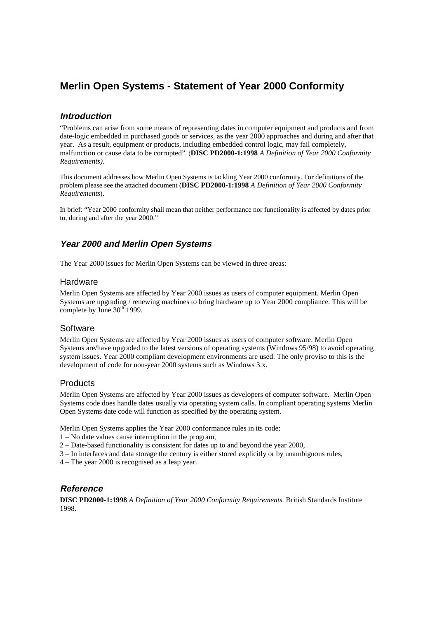## **Merlin Open Systems - Statement of Year 2000 Conformity**

### **Introduction**

"Problems can arise from some means of representing dates in computer equipment and products and from date-logic embedded in purchased goods or services, as the year 2000 approaches and during and after that year. As a result, equipment or products, including embedded control logic, may fail completely, malfunction or cause data to be corrupted". (**DISC PD2000-1:1998** *A Definition of Year 2000 Conformity Requirements).*

This document addresses how Merlin Open Systems is tackling Year 2000 conformity. For definitions of the problem please see the attached document (**DISC PD2000-1:1998** *A Definition of Year 2000 Conformity Requirements*).

In brief: "Year 2000 conformity shall mean that neither performance nor functionality is affected by dates prior to, during and after the year 2000."

### **Year 2000 and Merlin Open Systems**

The Year 2000 issues for Merlin Open Systems can be viewed in three areas:

### **Hardware**

Merlin Open Systems are affected by Year 2000 issues as users of computer equipment. Merlin Open Systems are upgrading / renewing machines to bring hardware up to Year 2000 compliance. This will be complete by June  $30<sup>th</sup> 1999$ .

### **Software**

Merlin Open Systems are affected by Year 2000 issues as users of computer software. Merlin Open Systems are/have upgraded to the latest versions of operating systems (Windows 95/98) to avoid operating system issues. Year 2000 compliant development environments are used. The only proviso to this is the development of code for non-year 2000 systems such as Windows 3.x.

### **Products**

Merlin Open Systems are affected by Year 2000 issues as developers of computer software. Merlin Open Systems code does handle dates usually via operating system calls. In compliant operating systems Merlin Open Systems date code will function as specified by the operating system.

Merlin Open Systems applies the Year 2000 conformance rules in its code:

- 1 No date values cause interruption in the program,
- 2 Date-based functionality is consistent for dates up to and beyond the year 2000,
- 3 In interfaces and data storage the century is either stored explicitly or by unambiguous rules,
- 4 The year 2000 is recognised as a leap year.

### **Reference**

**DISC PD2000-1:1998** *A Definition of Year 2000 Conformity Requirements.* British Standards Institute 1998.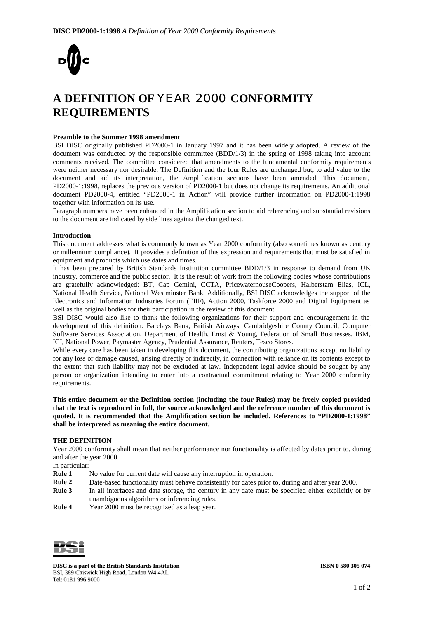

# **A DEFINITION OF** YEAR 2000 **CONFORMITY REQUIREMENTS**

#### **Preamble to the Summer 1998 amendment**

BSI DISC originally published PD2000-1 in January 1997 and it has been widely adopted. A review of the document was conducted by the responsible committee (BDD/1/3) in the spring of 1998 taking into account comments received. The committee considered that amendments to the fundamental conformity requirements were neither necessary nor desirable. The Definition and the four Rules are unchanged but, to add value to the document and aid its interpretation, the Amplification sections have been amended. This document, PD2000-1:1998, replaces the previous version of PD2000-1 but does not change its requirements. An additional document PD2000-4, entitled "PD2000-1 in Action" will provide further information on PD2000-1:1998 together with information on its use.

Paragraph numbers have been enhanced in the Amplification section to aid referencing and substantial revisions to the document are indicated by side lines against the changed text.

#### **Introduction**

This document addresses what is commonly known as Year 2000 conformity (also sometimes known as century or millennium compliance). It provides a definition of this expression and requirements that must be satisfied in equipment and products which use dates and times.

It has been prepared by British Standards Institution committee BDD/1/3 in response to demand from UK industry, commerce and the public sector. It is the result of work from the following bodies whose contributions are gratefully acknowledged: BT, Cap Gemini, CCTA, PricewaterhouseCoopers, Halberstam Elias, ICL, National Health Service, National Westminster Bank. Additionally, BSI DISC acknowledges the support of the Electronics and Information Industries Forum (EIIF), Action 2000, Taskforce 2000 and Digital Equipment as well as the original bodies for their participation in the review of this document.

BSI DISC would also like to thank the following organizations for their support and encouragement in the development of this definition: Barclays Bank, British Airways, Cambridgeshire County Council, Computer Software Services Association, Department of Health, Ernst & Young, Federation of Small Businesses, IBM, ICI, National Power, Paymaster Agency, Prudential Assurance, Reuters, Tesco Stores.

While every care has been taken in developing this document, the contributing organizations accept no liability for any loss or damage caused, arising directly or indirectly, in connection with reliance on its contents except to the extent that such liability may not be excluded at law. Independent legal advice should be sought by any person or organization intending to enter into a contractual commitment relating to Year 2000 conformity requirements.

**This entire document or the Definition section (including the four Rules) may be freely copied provided that the text is reproduced in full, the source acknowledged and the reference number of this document is quoted. It is recommended that the Amplification section be included. References to "PD2000-1:1998" shall be interpreted as meaning the entire document.**

#### **THE DEFINITION**

Year 2000 conformity shall mean that neither performance nor functionality is affected by dates prior to, during and after the year 2000.

In particular:

- **Rule 1** No value for current date will cause any interruption in operation.
- **Rule 2** Date-based functionality must behave consistently for dates prior to, during and after year 2000.
- **Rule 3** In all interfaces and data storage, the century in any date must be specified either explicitly or by unambiguous algorithms or inferencing rules.
- **Rule 4** Year 2000 must be recognized as a leap year.



**DISC is a part of the British Standards Institution ISBN 0 580 305 074** BSI, 389 Chiswick High Road, London W4 4AL Tel: 0181 996 9000